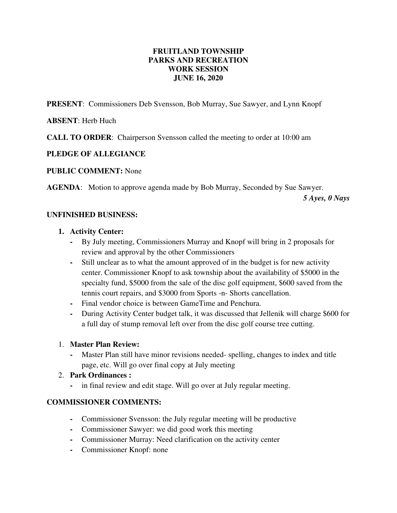# **FRUITLAND TOWNSHIP PARKS AND RECREATION WORK SESSION JUNE 16, 2020**

**PRESENT**: Commissioners Deb Svensson, Bob Murray, Sue Sawyer, and Lynn Knopf

# **ABSENT**: Herb Huch

**CALL TO ORDER**: Chairperson Svensson called the meeting to order at 10:00 am

# **PLEDGE OF ALLEGIANCE**

#### **PUBLIC COMMENT:** None

**AGENDA**: Motion to approve agenda made by Bob Murray, Seconded by Sue Sawyer.

 *5 Ayes, 0 Nays* 

# **UNFINISHED BUSINESS:**

#### **1. Activity Center:**

- **-** By July meeting, Commissioners Murray and Knopf will bring in 2 proposals for review and approval by the other Commissioners
- **-** Still unclear as to what the amount approved of in the budget is for new activity center. Commissioner Knopf to ask township about the availability of \$5000 in the specialty fund, \$5000 from the sale of the disc golf equipment, \$600 saved from the tennis court repairs, and \$3000 from Sports -n- Shorts cancellation.
- **-** Final vendor choice is between GameTime and Penchura.
- **-** During Activity Center budget talk, it was discussed that Jellenik will charge \$600 for a full day of stump removal left over from the disc golf course tree cutting.

# 1. **Master Plan Review:**

**-** Master Plan still have minor revisions needed- spelling, changes to index and title page, etc. Will go over final copy at July meeting

# 2. **Park Ordinances :**

**-** in final review and edit stage. Will go over at July regular meeting.

# **COMMISSIONER COMMENTS:**

- **-** Commissioner Svensson: the July regular meeting will be productive
- **-** Commissioner Sawyer: we did good work this meeting
- **-** Commissioner Murray: Need clarification on the activity center
- **-** Commissioner Knopf: none